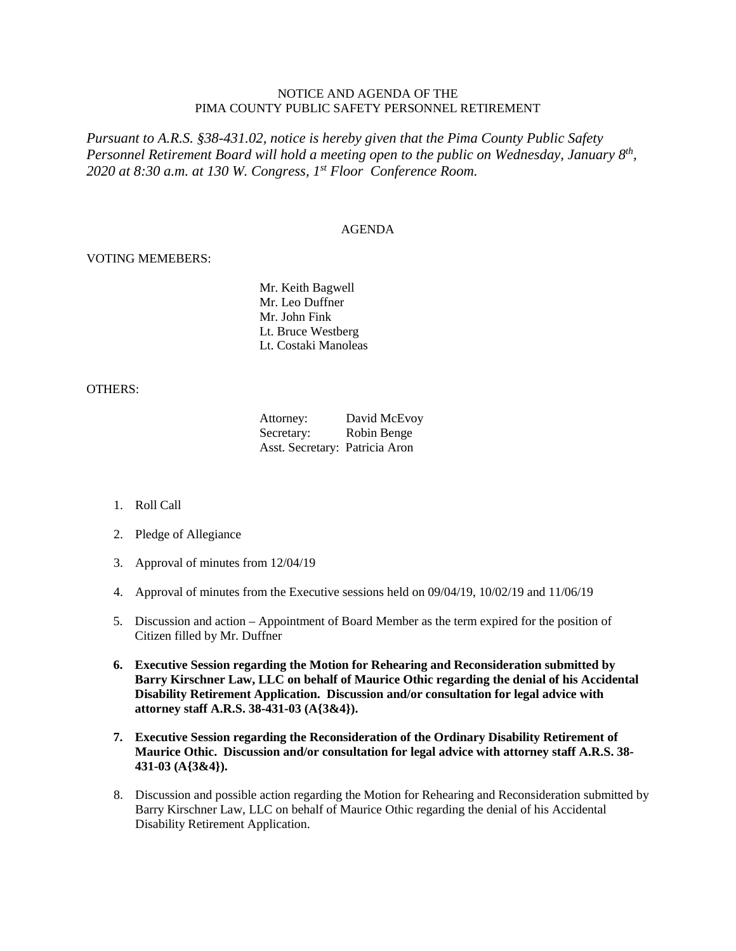## NOTICE AND AGENDA OF THE PIMA COUNTY PUBLIC SAFETY PERSONNEL RETIREMENT

*Pursuant to A.R.S. §38-431.02, notice is hereby given that the Pima County Public Safety Personnel Retirement Board will hold a meeting open to the public on Wednesday, January 8th, 2020 at 8:30 a.m. at 130 W. Congress, 1st Floor Conference Room.*

## AGENDA

## VOTING MEMEBERS:

Mr. Keith Bagwell Mr. Leo Duffner Mr. John Fink Lt. Bruce Westberg Lt. Costaki Manoleas

## OTHERS:

| Attorney:                      | David McEvoy |
|--------------------------------|--------------|
| Secretary:                     | Robin Benge  |
| Asst. Secretary: Patricia Aron |              |

- 1. Roll Call
- 2. Pledge of Allegiance
- 3. Approval of minutes from 12/04/19
- 4. Approval of minutes from the Executive sessions held on 09/04/19, 10/02/19 and 11/06/19
- 5. Discussion and action Appointment of Board Member as the term expired for the position of Citizen filled by Mr. Duffner
- **6. Executive Session regarding the Motion for Rehearing and Reconsideration submitted by Barry Kirschner Law, LLC on behalf of Maurice Othic regarding the denial of his Accidental Disability Retirement Application. Discussion and/or consultation for legal advice with attorney staff A.R.S. 38-431-03 (A{3&4}).**
- **7. Executive Session regarding the Reconsideration of the Ordinary Disability Retirement of Maurice Othic. Discussion and/or consultation for legal advice with attorney staff A.R.S. 38- 431-03 (A{3&4}).**
- 8. Discussion and possible action regarding the Motion for Rehearing and Reconsideration submitted by Barry Kirschner Law, LLC on behalf of Maurice Othic regarding the denial of his Accidental Disability Retirement Application.